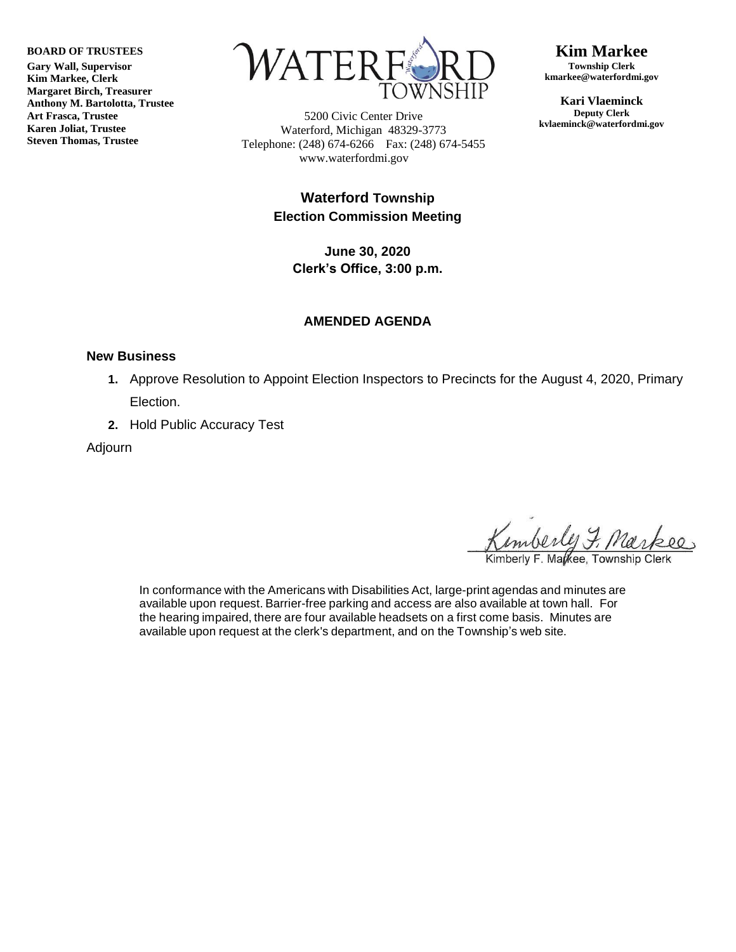**BOARD OF TRUSTEES**

**Gary Wall, Supervisor Kim Markee, Clerk Margaret Birch, Treasurer Anthony M. Bartolotta, Trustee Art Frasca, Trustee Karen Joliat, Trustee Steven Thomas, Trustee**



5200 Civic Center Drive Waterford, Michigan 48329-3773 Telephone: (248) 674-6266 Fax: (248) 674-5455 www.waterfordmi.gov

### **Kim Markee Township Clerk**

**kmarkee@waterfordmi.gov**

**Kari Vlaeminck Deputy Clerk kvlaeminck@waterfordmi.gov**

## **Waterford Township Election Commission Meeting**

**June 30, 2020 Clerk's Office, 3:00 p.m.**

## **AMENDED AGENDA**

#### **New Business**

- **1.** Approve Resolution to Appoint Election Inspectors to Precincts for the August 4, 2020, Primary Election.
- **2.** Hold Public Accuracy Test

Adjourn

Kimberly F. Markee. Township

In conformance with the Americans with Disabilities Act, large-print agendas and minutes are available upon request. Barrier-free parking and access are also available at town hall. For the hearing impaired, there are four available headsets on a first come basis. Minutes are available upon request at the clerk's department, and on the Township's web site.